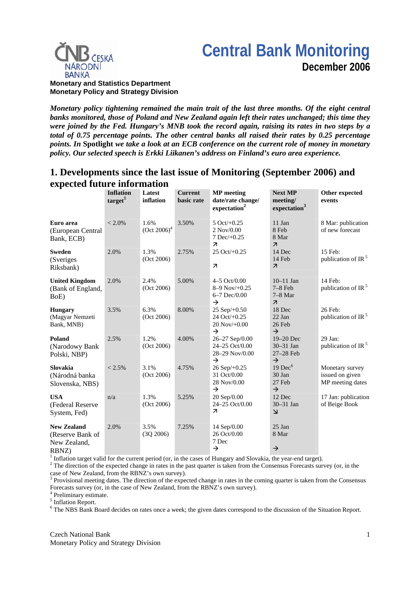# **Central Bank Monitoring December 2006**



**Monetary and Statistics Department Monetary Policy and Strategy Division**

*Monetary policy tightening remained the main trait of the last three months. Of the eight central banks monitored, those of Poland and New Zealand again left their rates unchanged; this time they were joined by the Fed. Hungary's MNB took the record again, raising its rates in two steps by a total of 0.75 percentage points. The other central banks all raised their rates by 0.25 percentage points. In* **Spotlight** *we take a look at an ECB conference on the current role of money in monetary policy. Our selected speech is Erkki Liikanen's address on Finland's euro area experience.* 

## **1. Developments since the last issue of Monitoring (September 2006) and expected future information**

| expected future informa                                         |                                         |                        |                              |                                                                                       |                                                                   |                                                        |
|-----------------------------------------------------------------|-----------------------------------------|------------------------|------------------------------|---------------------------------------------------------------------------------------|-------------------------------------------------------------------|--------------------------------------------------------|
|                                                                 | <b>Inflation</b><br>target <sup>1</sup> | Latest<br>inflation    | <b>Current</b><br>basic rate | <b>MP</b> meeting<br>date/rate change/<br>expectation <sup>2</sup>                    | <b>Next MP</b><br>meeting/<br>expectation <sup>3</sup>            | Other expected<br>events                               |
| Euro area<br>(European Central<br>Bank, ECB)                    | $< 2.0\%$                               | 1.6%<br>$(Oct 2006)^4$ | 3.50%                        | $5 \text{ Oct/}+0.25$<br>$2$ Nov/0.00<br>$7$ Dec $/+0.25$<br>$\overline{\mathcal{L}}$ | 11 Jan<br>8 Feb<br>8 Mar<br>$\overline{\mathcal{A}}$              | 8 Mar: publication<br>of new forecast                  |
| <b>Sweden</b><br>(Sveriges)<br>Riksbank)                        | 2.0%                                    | 1.3%<br>(Oct 2006)     | 2.75%                        | 25 Oct/+0.25<br>$\overline{\mathcal{A}}$                                              | 14 Dec<br>14 Feb<br>$\overline{\mathcal{A}}$                      | 15 Feb:<br>publication of IR <sup>5</sup>              |
| <b>United Kingdom</b><br>(Bank of England,<br>BoE)              | 2.0%                                    | 2.4%<br>(Oct 2006)     | 5.00%                        | $4 - 5$ Oct/0.00<br>$8-9$ Nov/ $+0.25$<br>$6 - 7$ Dec/0.00<br>$\rightarrow$           | $10-11$ Jan<br>$7-8$ Feb<br>$7-8$ Mar<br>$\overline{\mathcal{A}}$ | 14 Feb:<br>publication of IR <sup>5</sup>              |
| <b>Hungary</b><br>(Magyar Nemzeti<br>Bank, MNB)                 | 3.5%                                    | 6.3%<br>(Oct 2006)     | 8.00%                        | $25$ Sep $/+0.50$<br>24 Oct/+0.25<br>$20$ Nov/ $+0.00$<br>$\rightarrow$               | 18 Dec<br>22 Jan<br>26 Feb<br>$\rightarrow$                       | 26 Feb:<br>publication of IR <sup>5</sup>              |
| Poland<br>(Narodowy Bank<br>Polski, NBP)                        | 2.5%                                    | 1.2%<br>(Oct 2006)     | 4.00%                        | 26-27 Sep/0.00<br>24-25 Oct/0.00<br>28-29 Nov/0.00<br>$\rightarrow$                   | 19-20 Dec<br>30-31 Jan<br>27-28 Feb<br>$\rightarrow$              | 29 Jan:<br>publication of IR <sup>5</sup>              |
| <b>Slovakia</b><br>(Národná banka<br>Slovenska, NBS)            | $< 2.5\%$                               | 3.1%<br>(Oct 2006)     | 4.75%                        | 26 Sep/+0.25<br>31 Oct/0.00<br>28 Nov/0.00<br>$\rightarrow$                           | $19$ Dec $6$<br>30 Jan<br>27 Feb<br>$\rightarrow$                 | Monetary survey<br>issued on given<br>MP meeting dates |
| <b>USA</b><br>(Federal Reserve<br>System, Fed)                  | n/a                                     | 1.3%<br>(Oct 2006)     | 5.25%                        | 20 Sep/0.00<br>24-25 Oct/0.00<br>$\overline{\mathcal{A}}$                             | 12 Dec<br>$30-31$ Jan<br>$\overline{\mathsf{K}}$                  | 17 Jan: publication<br>of Beige Book                   |
| <b>New Zealand</b><br>(Reserve Bank of<br>New Zealand,<br>RBNZ) | 2.0%                                    | 3.5%<br>(3Q 2006)      | 7.25%                        | 14 Sep/0.00<br>26 Oct/0.00<br>7 Dec<br>$\rightarrow$                                  | 25 Jan<br>8 Mar<br>$\rightarrow$                                  |                                                        |

<sup>1</sup> Inflation target valid for the current period (or, in the cases of Hungary and Slovakia, the year-end target). <sup>2</sup> The direction of the expected change in rates in the pert quarter is taken from the Consensus Especiat

<sup>2</sup> The direction of the expected change in rates in the past quarter is taken from the Consensus Forecasts survey (or, in the

case of New Zealand, from the RBNZ's own survey).<br><sup>3</sup> Provisional meeting dates. The direction of the expected change in rates in the coming quarter is taken from the Consensus Forecasts survey (or, in the case of New Zealand, from the RBNZ's own survey).

4 Preliminary estimate.

<sup>5</sup> Inflation Report.

<sup>6</sup> The NBS Bank Board decides on rates once a week; the given dates correspond to the discussion of the Situation Report.

Czech National Bank Monetary Policy and Strategy Division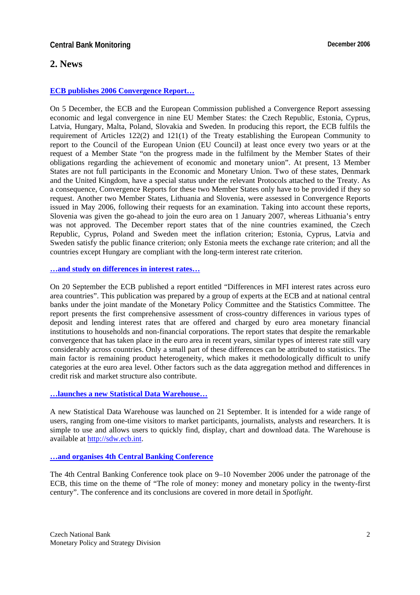# **2. News**

### **[ECB publishes 2006 Convergence Report…](http://www.ecb.int/pub/pdf/conrep/cr200612en.pdf)**

On 5 December, the ECB and the European Commission published a Convergence Report assessing economic and legal convergence in nine EU Member States: the Czech Republic, Estonia, Cyprus, Latvia, Hungary, Malta, Poland, Slovakia and Sweden. In producing this report, the ECB fulfils the requirement of Articles 122(2) and 121(1) of the Treaty establishing the European Community to report to the Council of the European Union (EU Council) at least once every two years or at the request of a Member State "on the progress made in the fulfilment by the Member States of their obligations regarding the achievement of economic and monetary union". At present, 13 Member States are not full participants in the Economic and Monetary Union. Two of these states, Denmark and the United Kingdom, have a special status under the relevant Protocols attached to the Treaty. As a consequence, Convergence Reports for these two Member States only have to be provided if they so request. Another two Member States, Lithuania and Slovenia, were assessed in Convergence Reports issued in May 2006, following their requests for an examination. Taking into account these reports, Slovenia was given the go-ahead to join the euro area on 1 January 2007, whereas Lithuania's entry was not approved. The December report states that of the nine countries examined, the Czech Republic, Cyprus, Poland and Sweden meet the inflation criterion; Estonia, Cyprus, Latvia and Sweden satisfy the public finance criterion; only Estonia meets the exchange rate criterion; and all the countries except Hungary are compliant with the long-term interest rate criterion.

#### **[…and study on differences in interest rates…](http://www.ecb.int/press/pr/date/2006/html/pr060920.en.html)**

On 20 September the ECB published a report entitled "Differences in MFI interest rates across euro area countries". This publication was prepared by a group of experts at the ECB and at national central banks under the joint mandate of the Monetary Policy Committee and the Statistics Committee. The report presents the first comprehensive assessment of cross-country differences in various types of deposit and lending interest rates that are offered and charged by euro area monetary financial institutions to households and non-financial corporations. The report states that despite the remarkable convergence that has taken place in the euro area in recent years, similar types of interest rate still vary considerably across countries. Only a small part of these differences can be attributed to statistics. The main factor is remaining product heterogeneity, which makes it methodologically difficult to unify categories at the euro area level. Other factors such as the data aggregation method and differences in credit risk and market structure also contribute.

#### **[…launches a new Statistical Data Warehouse…](http://www.ecb.int/press/pr/date/2006/html/pr060921.en.html)**

A new Statistical Data Warehouse was launched on 21 September. It is intended for a wide range of users, ranging from one-time visitors to market participants, journalists, analysts and researchers. It is simple to use and allows users to quickly find, display, chart and download data. The Warehouse is available a[t http://sdw.ecb.int.](http://sdw.ecb.int/) 

### **[…and organises 4th Central Banking Conference](http://www.ecb.int/events/conferences/html/cbc4.en.html)**

The 4th Central Banking Conference took place on 9–10 November 2006 under the patronage of the ECB, this time on the theme of "The role of money: money and monetary policy in the twenty-first century". The conference and its conclusions are covered in more detail in *Spotlight*.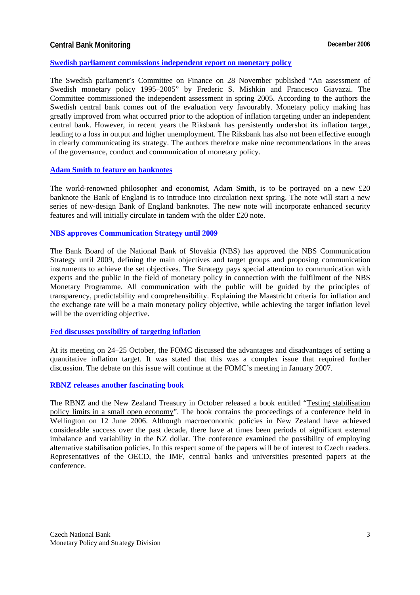### **Central Bank Monitoring Central Bank Monitoring Central Bank Monitoring Central Bank Monitoring Central Bank Monitoring Central Bank Monitoring Central Bank Monitoring Central Bank Monitoring Central Bank Monitoring Centr**

#### **[Swedish parliament commissions independent report on monetary policy](http://www.riksbank.com/templates/Page.aspx?id=23320)**

The Swedish parliament's Committee on Finance on 28 November published "An assessment of Swedish monetary policy 1995–2005" by Frederic S. Mishkin and Francesco Giavazzi. The Committee commissioned the independent assessment in spring 2005. According to the authors the Swedish central bank comes out of the evaluation very favourably. Monetary policy making has greatly improved from what occurred prior to the adoption of inflation targeting under an independent central bank. However, in recent years the Riksbank has persistently undershot its inflation target, leading to a loss in output and higher unemployment. The Riksbank has also not been effective enough in clearly communicating its strategy. The authors therefore make nine recommendations in the areas of the governance, conduct and communication of monetary policy.

#### **[Adam Smith to feature on banknotes](http://www.bankofengland.co.uk/publications/news/2006/098.htm)**

The world-renowned philosopher and economist, Adam Smith, is to be portrayed on a new £20 banknote the Bank of England is to introduce into circulation next spring. The note will start a new series of new-design Bank of England banknotes. The new note will incorporate enhanced security features and will initially circulate in tandem with the older £20 note.

#### **[NBS approves Communication Strategy until 2009](http://www.nbs.sk/MEDIA/STRATEG.HTM)**

The Bank Board of the National Bank of Slovakia (NBS) has approved the NBS Communication Strategy until 2009, defining the main objectives and target groups and proposing communication instruments to achieve the set objectives. The Strategy pays special attention to communication with experts and the public in the field of monetary policy in connection with the fulfilment of the NBS Monetary Programme. All communication with the public will be guided by the principles of transparency, predictability and comprehensibility. Explaining the Maastricht criteria for inflation and the exchange rate will be a main monetary policy objective, while achieving the target inflation level will be the overriding objective.

#### **[Fed discusses possibility of targeting inflation](http://www.federalreserve.gov/fomc/minutes/20061025.htm)**

At its meeting on 24–25 October, the FOMC discussed the advantages and disadvantages of setting a quantitative inflation target. It was stated that this was a complex issue that required further discussion. The debate on this issue will continue at the FOMC's meeting in January 2007.

#### **[RBNZ releases another fascinating book](http://www.rbnz.govt.nz/news/2006/2836234.html#TopOfPage)**

The RBNZ and the New Zealand Treasury in October released a book entitled "Testing stabilisation policy limits in a small open economy". The book contains the proceedings of a conference held in Wellington on 12 June 2006. Although macroeconomic policies in New Zealand have achieved considerable success over the past decade, there have at times been periods of significant external imbalance and variability in the NZ dollar. The conference examined the possibility of employing alternative stabilisation policies. In this respect some of the papers will be of interest to Czech readers. Representatives of the OECD, the IMF, central banks and universities presented papers at the conference.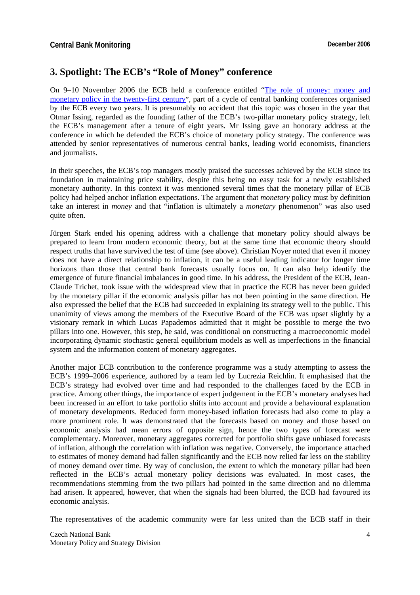# **3. Spotlight: The ECB's "Role of Money" conference**

On 9–10 November 2006 the ECB held a conference entitled ["The role of money: money and](http://www.ecb.int/events/conferences/html/cbc4.en.html)  monetary policy in the twenty-first century", part of a cycle of central banking conferences organised by the ECB every two years. It is presumably no accident that this topic was chosen in the year that Otmar Issing, regarded as the founding father of the ECB's two-pillar monetary policy strategy, left the ECB's management after a tenure of eight years. Mr Issing gave an honorary address at the conference in which he defended the ECB's choice of monetary policy strategy. The conference was attended by senior representatives of numerous central banks, leading world economists, financiers and journalists.

In their speeches, the ECB's top managers mostly praised the successes achieved by the ECB since its foundation in maintaining price stability, despite this being no easy task for a newly established monetary authority. In this context it was mentioned several times that the monetary pillar of ECB policy had helped anchor inflation expectations. The argument that *monetary* policy must by definition take an interest in *money* and that "inflation is ultimately a *monetary* phenomenon" was also used quite often.

Jürgen Stark ended his opening address with a challenge that monetary policy should always be prepared to learn from modern economic theory, but at the same time that economic theory should respect truths that have survived the test of time (see above). Christian Noyer noted that even if money does not have a direct relationship to inflation, it can be a useful leading indicator for longer time horizons than those that central bank forecasts usually focus on. It can also help identify the emergence of future financial imbalances in good time. In his address, the President of the ECB, Jean-Claude Trichet, took issue with the widespread view that in practice the ECB has never been guided by the monetary pillar if the economic analysis pillar has not been pointing in the same direction. He also expressed the belief that the ECB had succeeded in explaining its strategy well to the public. This unanimity of views among the members of the Executive Board of the ECB was upset slightly by a visionary remark in which Lucas Papademos admitted that it might be possible to merge the two pillars into one. However, this step, he said, was conditional on constructing a macroeconomic model incorporating dynamic stochastic general equilibrium models as well as imperfections in the financial system and the information content of monetary aggregates.

Another major ECB contribution to the conference programme was a study attempting to assess the ECB's 1999–2006 experience, authored by a team led by Lucrezia Reichlin. It emphasised that the ECB's strategy had evolved over time and had responded to the challenges faced by the ECB in practice. Among other things, the importance of expert judgement in the ECB's monetary analyses had been increased in an effort to take portfolio shifts into account and provide a behavioural explanation of monetary developments. Reduced form money-based inflation forecasts had also come to play a more prominent role. It was demonstrated that the forecasts based on money and those based on economic analysis had mean errors of opposite sign, hence the two types of forecast were complementary. Moreover, monetary aggregates corrected for portfolio shifts gave unbiased forecasts of inflation, although the correlation with inflation was negative. Conversely, the importance attached to estimates of money demand had fallen significantly and the ECB now relied far less on the stability of money demand over time. By way of conclusion, the extent to which the monetary pillar had been reflected in the ECB's actual monetary policy decisions was evaluated. In most cases, the recommendations stemming from the two pillars had pointed in the same direction and no dilemma had arisen. It appeared, however, that when the signals had been blurred, the ECB had favoured its economic analysis.

The representatives of the academic community were far less united than the ECB staff in their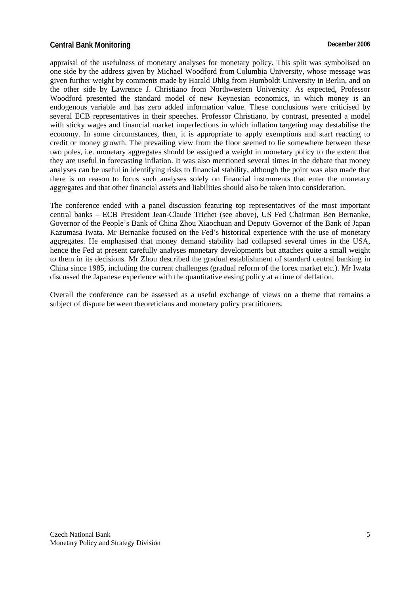### **Central Bank Monitoring Central Bank Monitoring Central Bank Monitoring Central Bank Monitoring Central Bank Monitoring Central Bank Monitoring Central Bank Monitoring Central Bank Monitoring Central Bank Monitoring Centr**

appraisal of the usefulness of monetary analyses for monetary policy. This split was symbolised on one side by the address given by Michael Woodford from Columbia University, whose message was given further weight by comments made by Harald Uhlig from Humboldt University in Berlin, and on the other side by Lawrence J. Christiano from Northwestern University. As expected, Professor Woodford presented the standard model of new Keynesian economics, in which money is an endogenous variable and has zero added information value. These conclusions were criticised by several ECB representatives in their speeches. Professor Christiano, by contrast, presented a model with sticky wages and financial market imperfections in which inflation targeting may destabilise the economy. In some circumstances, then, it is appropriate to apply exemptions and start reacting to credit or money growth. The prevailing view from the floor seemed to lie somewhere between these two poles, i.e. monetary aggregates should be assigned a weight in monetary policy to the extent that they are useful in forecasting inflation. It was also mentioned several times in the debate that money analyses can be useful in identifying risks to financial stability, although the point was also made that there is no reason to focus such analyses solely on financial instruments that enter the monetary aggregates and that other financial assets and liabilities should also be taken into consideration.

The conference ended with a panel discussion featuring top representatives of the most important central banks – ECB President Jean-Claude Trichet (see above), US Fed Chairman Ben Bernanke, Governor of the People's Bank of China Zhou Xiaochuan and Deputy Governor of the Bank of Japan Kazumasa Iwata. Mr Bernanke focused on the Fed's historical experience with the use of monetary aggregates. He emphasised that money demand stability had collapsed several times in the USA, hence the Fed at present carefully analyses monetary developments but attaches quite a small weight to them in its decisions. Mr Zhou described the gradual establishment of standard central banking in China since 1985, including the current challenges (gradual reform of the forex market etc.). Mr Iwata discussed the Japanese experience with the quantitative easing policy at a time of deflation.

Overall the conference can be assessed as a useful exchange of views on a theme that remains a subject of dispute between theoreticians and monetary policy practitioners.